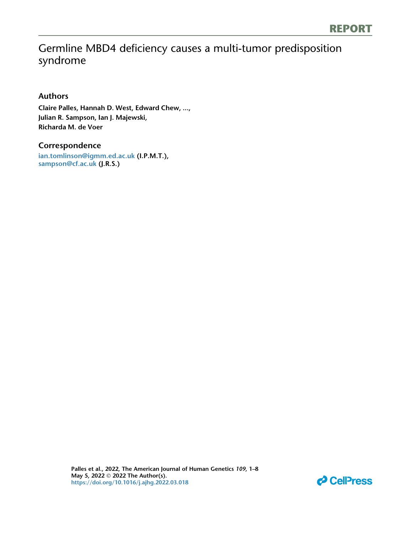# Germline MBD4 deficiency causes a multi-tumor predisposition syndrome

### Authors

Claire Palles, Hannah D. West, Edward Chew, ..., Julian R. Sampson, Ian J. Majewski, Richarda M. de Voer

### Correspondence

[ian.tomlinson@igmm.ed.ac.uk](mailto:ian.tomlinson@igmm.ed.ac.�uk) (I.P.M.T.), [sampson@cf.ac.uk](mailto:sampson@cf.ac.�uk) (J.R.S.)

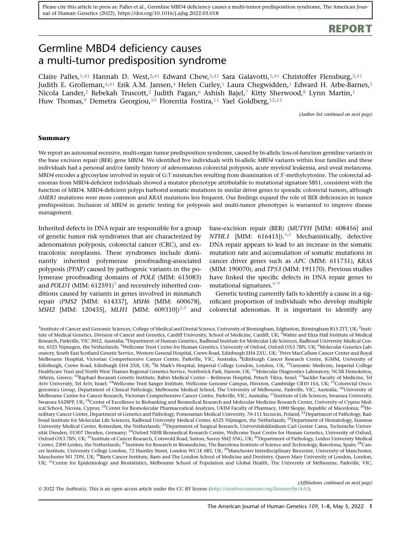## REPORT

## Germline MBD4 deficiency causes a multi-tumor predisposition syndrome

Claire Palles, [1](#page-1-0),41 Hannah D. West, [2,](#page-1-0)41 Edward Chew, 3,41 Sara Galavotti, [1,](#page-1-0)41 Christoffer Flensburg, [3](#page-1-1),41 Judith E. Grolleman,  $4,41$  $4,41$  $4,41$  Erik A.M. Jansen,  $4$  Helen Curley, 1 Laura Chegwidden, 1 Edward H. Arbe-Barnes,  $5$ Nicola Lander,<sup>[2](#page-1-0)</sup> Rebekah Truscott,<sup>2</sup> Judith Pagan,<sup>6</sup> Ashish Bajel,<sup>7</sup> Kitty Sherwood,<sup>[8](#page-1-5)</sup> Lynn Martin,<sup>1</sup> Huw Thomas,<sup>[9](#page-1-6)</sup> Demetra Georgiou,<sup>10</sup> Florentia Fostira,<sup>11</sup> Yael Goldberg,<sup>[12,13](#page-1-8)</sup>

(Author list continued on next page)

#### Summary

We report an autosomal recessive, multi-organ tumor predisposition syndrome, caused by bi-allelic loss-of-function germline variants in the base excision repair (BER) gene MBD4. We identified five individuals with bi-allelic MBD4 variants within four families and these individuals had a personal and/or family history of adenomatous colorectal polyposis, acute myeloid leukemia, and uveal melanoma.  $\it MBD4$  encodes a glycosylase involved in repair of G:T mismatches resulting from deamination of 5'-methylcytosine. The colorectal adenomas from MBD4-deficient individuals showed a mutator phenotype attributable to mutational signature SBS1, consistent with the function of MBD4. MBD4-deficient polyps harbored somatic mutations in similar driver genes to sporadic colorectal tumors, although AMER1 mutations were more common and KRAS mutations less frequent. Our findings expand the role of BER deficiencies in tumor predisposition. Inclusion of MBD4 in genetic testing for polyposis and multi-tumor phenotypes is warranted to improve disease management.

Inherited defects in DNA repair are responsible for a group of genetic tumor risk syndromes that are characterized by adenomatous polyposis, colorectal cancer (CRC), and extracolonic neoplasms. These syndromes include dominantly inherited polymerase proofreading-associated polyposis (PPAP) caused by pathogenic variants in the polymerase proofreading domains of POLE (MIM: 615083) and POLD[1](#page-7-0) (MIM:  $612591$ )<sup>1</sup> and recessively inherited conditions caused by variants in genes involved in mismatch repair (PMS2 [MIM: 614337], MSH6 [MIM: 600678], MSH[2](#page-7-1) [MIM: 120435], MLH1 [MIM: 609310])<sup>2[,3](#page-7-2)</sup> and

base-excision repair (BER) (MUTYH [MIM: 608456] and NTHL1 [MIM:  $616415$  $616415$ ]).<sup>[4,](#page-7-3)5</sup> Mechanistically, defective DNA repair appears to lead to an increase in the somatic mutation rate and accumulation of somatic mutations in cancer driver genes such as APC (MIM: 611731), KRAS (MIM: 190070), and TP53 (MIM: 191170). Previous studies have linked the specific defects in DNA repair genes to mutational signatures. $6-9$ 

Genetic testing currently fails to identify a cause in a significant proportion of individuals who develop multiple colorectal adenomas. It is important to identify any

<span id="page-1-13"></span><span id="page-1-12"></span><span id="page-1-11"></span><span id="page-1-10"></span><span id="page-1-9"></span><span id="page-1-8"></span><span id="page-1-7"></span><span id="page-1-6"></span><span id="page-1-5"></span><span id="page-1-4"></span><span id="page-1-3"></span><span id="page-1-2"></span><span id="page-1-1"></span><span id="page-1-0"></span><sup>1</sup>Institute of Cancer and Genomic Sciences, College of Medical and Dental Science, University of Birmingham, Edgbaston, Birmingham B15 2TT, UK; <sup>2</sup>Institute of Medical Genetics, Division of Cancer and Genetics, Cardiff University, School of Medicine, Cardiff, UK; <sup>3</sup>Walter and Eliza Hall Institute of Medical Research, Parkville, VIC 3052, Australia; <sup>4</sup>Department of Human Genetics, Radboud Institute for Molecular Life Sciences, Radboud University Medical Center, 6525 Nijmegen, the Netherlands; <sup>5</sup>Wellcome Trust Centre for Human Genetics, University of Oxford, Oxford OX3 7BN, UK; <sup>6</sup>Molecular Genetics Laboratory, South East Scotland Genetic Service, Western General Hospital, Crewe Road, Edinburgh EH4 2XU, UK; <sup>7</sup>Peter MacCallum Cancer Center and Royal Melbourne Hospital, Victorian Comprehensive Cancer Centre, Parkville, VIC, Australia; <sup>8</sup>Edinburgh Cancer Research Centre, IGMM, University of Edinburgh, Crewe Road, Edinburgh EH4 2XR, UK; <sup>9</sup>St Mark's Hospital, Imperial College London, London, UK; <sup>10</sup>Genomic Medicine, Imperial College Healthcare Trust and North West Thames Regional Genetics Service, Northwick Park, Harrow, UK; <sup>11</sup>Molecular Diagnostics Laboratory, NCSR Demokritos, Athens, Greece; <sup>12</sup>Raphael Recanati Genetic Institute, Rabin Medical Center – Beilinson Hospital, Petach Tikva, Israel; <sup>13</sup>Sackler Faculty of Medicine, Tel Aviv University, Tel Aviv, Israel; <sup>14</sup>Wellcome Trust Sanger Institute, Wellcome Genome Campus, Hinxton, Cambridge CB10 1SA, UK; <sup>15</sup>Colorectal Oncogenomics Group, Department of Clinical Pathology, Melbourne Medical School, The University of Melbourne, Parkville, VIC, Australia; <sup>16</sup>University of Melbourne Centre for Cancer Research, Victorian Comprehensive Cancer Centre, Parkville, VIC, Australia; <sup>17</sup>Institute of Life Sciences, Swansea University, Swansea SA28PP, UK; <sup>18</sup>Center of Excellence in Biobanking and Biomedical Research and Molecular Medicine Research Center, University of Cyprus Medical School, Nicosia, Cyprus; <sup>19</sup>Center for Biomolecular Pharmaceutical Analyzes, UKIM Faculty of Pharmacy, 1000 Skopje, Republic of Macedonia; <sup>20</sup>Hereditary Cancer Center, Department of Genetics and Pathology, Pomeranian Medical University, 70-111 Szczecin, Poland; <sup>21</sup>Department of Pathology, Radboud Institute for Molecular Life Sciences, Radboud University Medical Center, 6525 Nijmegen, the Netherlands; <sup>22</sup>Department of Hematology, Erasmus University Medical Center, Rotterdam, the Netherlands; <sup>23</sup>Department of Surgical Research, Universitätsklinikum Carl Gustav Carus, Technische Universität Dresden, 01307 Dresden, Germany; <sup>24</sup>Oxford NIHR Biomedical Research Centre, Wellcome Trust Centre for Human Genetics, University of Oxford, Oxford OX3 7BN, UK;<sup>25</sup>Institute of Cancer Research, Cotswold Road, Sutton, Surrey SM2 5NG, UK;<sup>26</sup>Department of Pathology, Leiden University Medical Center, 2300 Leiden, the Netherlands; <sup>27</sup>Institute for Research in Biomedicine, The Barcelona Institute of Science and Technology, Barcelona, Spain; <sup>28</sup>Cancer Institute, University College London, 72 Huntley Street, London WC1E 6BT, UK; <sup>29</sup>Manchester Interdisciplinary Biocentre, University of Manchester, Manchester M1 7DN, UK; <sup>30</sup>Barts Cancer Institute, Barts and The London School of Medicine and Dentistry, Queen Mary University of London, London, UK; <sup>31</sup>Centre for Epidemiology and Biostatistics, Melbourne School of Population and Global Health, The University of Melbourne, Parkville, VIC,

(Affiliations continued on next page)

<span id="page-1-22"></span><span id="page-1-21"></span><span id="page-1-20"></span><span id="page-1-19"></span><span id="page-1-18"></span><span id="page-1-17"></span><span id="page-1-16"></span><span id="page-1-15"></span><span id="page-1-14"></span>2022 The Author(s). This is an open access article under the CC BY license ([http://creativecommons.org/licenses/by/4.0/\)](http://creativecommons.org/licenses/by/4.0/).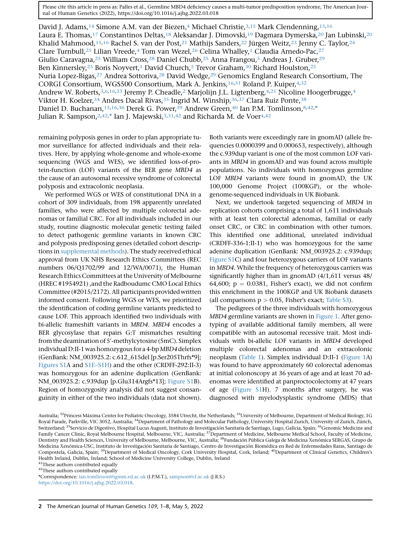David J. Adams,<sup>[14](#page-1-9)</sup> Simone A.M. van der Biezen,<sup>4</sup> Michael Christie,<sup>[3,](#page-1-1)[15](#page-1-9)</sup> Mark Clendenning,<sup>15[,16](#page-1-10)</sup> Laura E. Thomas,<sup>17</sup> Constantinos Deltas,<sup>[18](#page-1-12)</sup> Aleksandar J. Dimovski,<sup>[19](#page-1-13)</sup> Dagmara Dymerska,<sup>[20](#page-1-13)</sup> Jan Lubinski,<sup>20</sup> Khalid Mahmood,<sup>15[,16](#page-1-10)</sup> Rachel S. van der Post,<sup>[21](#page-1-14)</sup> Mathijs Sanders,<sup>[22](#page-1-15)</sup> Jürgen Weitz,<sup>23</sup> Jenny C. Taylor,<sup>[24](#page-1-17)</sup> Clare Turnbull,<sup>[25](#page-1-18)</sup> Lilian Vreede,<sup>[4](#page-1-2)</sup> Tom van Wezel,<sup>[26](#page-1-18)</sup> Celina Whalley,<sup>[1](#page-1-0)</sup> Claudia Arnedo-Pac,<sup>27</sup> Giulio Caravagna,<sup>25</sup> William Cross,<sup>[28](#page-1-19)</sup> Daniel Chubb,<sup>[25](#page-1-18)</sup> Anna Frangou,<sup>[5](#page-1-3)</sup> Andreas J. Gruber,<sup>29</sup> Ben Kinnersley,<sup>[25](#page-1-18)</sup> Boris Noyvert,<sup>1</sup> David Church,<sup>5</sup> Trevor Graham,<sup>30</sup> Richard Houlston,<sup>25</sup> Nuria Lopez-Bigas,<sup>[27](#page-1-19)</sup> Andrea Sottoriva,<sup>28</sup> David Wedge,<sup>[29](#page-1-20)</sup> Genomics England Research Consortium, The CORGI Consortium, WGS500 Consortium, Mark A. Jenkins[,16,](#page-1-10)[31](#page-1-22) Roland P. Kuiper[,4](#page-1-2),[32](#page-1-22) Andrew W. Roberts, [3,](#page-1-1)[6](#page-1-3)[,16,](#page-1-10)[33](#page-2-0) Jeremy P. Cheadle, 2 Marjolijn J.L. Ligtenberg, 4[,2](#page-1-0)1 Nicoline Hoogerbrugge, [4](#page-1-2) Viktor H. Koelzer,  $34$  Andres Dacal Rivas,  $35$  Ingrid M. Winship,  $36,37$  $36,37$  Clara Ruiz Ponte,  $38$ Daniel D. Buchanan, [15](#page-1-9), 16, [36](#page-2-2) Derek G. Power, <sup>39</sup> Andrew Green, <sup>40</sup> Ian P.M. Tomlinson, 8, 42, [\\*](#page-2-6) Julian R. Sampson,<sup>2,42,[\\*](#page-2-6)</sup> Ian J. Majewski,<sup>3,[31](#page-1-22),[4](#page-1-2)2</sup> and Richarda M. de Voer<sup>4,42</sup>

remaining polyposis genes in order to plan appropriate tumor surveillance for affected individuals and their relatives. Here, by applying whole-genome and whole-exome sequencing (WGS and WES), we identified loss-of-protein-function (LOF) variants of the BER gene MBD4 as the cause of an autosomal recessive syndrome of colorectal polyposis and extracolonic neoplasia.

We performed WGS or WES of constitutional DNA in a cohort of 309 individuals, from 198 apparently unrelated families, who were affected by multiple colorectal adenomas or familial CRC. For all individuals included in our study, routine diagnostic molecular genetic testing failed to detect pathogenic germline variants in known CRC and polyposis predisposing genes (detailed cohort descriptions in [supplemental methods](#page-6-0)). The study received ethical approval from UK NHS Research Ethics Committees (REC numbers 06/Q1702/99 and 12/WA/0071), the Human Research Ethics Committees at the University of Melbourne (HREC #1954921) ,and the Radboudumc CMO Local Ethics Committee (#2015/2172). All participants provided written informed consent. Following WGS or WES, we prioritized the identification of coding germline variants predicted to cause LOF. This approach identified two individuals with bi-allelic frameshift variants in MBD4. MBD4 encodes a BER glycosylase that repairs G:T mismatches resulting from the deamination of 5'-methylcytosine (5mC). Simplex individual D:II-1 was homozygous for a 4-bp MBD4 deletion (GenBank: NM\_003925.2: c.612\_615del [p.Ser205Thrfs\*9]; [Figures S1A](#page-6-0) and [S1E–S1H\)](#page-6-0) and the other (CRDFF-292:II-3) was homozygous for an adenine duplication (GenBank: NM\_003925.2: c.939dup [p.Glu314Argfs\*13]; [Figure S1](#page-6-0)B). Region of homozygosity analysis did not suggest consanguinity in either of the two individuals (data not shown).

Both variants were exceedingly rare in gnomAD (allele frequencies 0.0000399 and 0.000653, respectively), although the c.939dup variant is one of the most common LOF variants in MBD4 in gnomAD and was found across multiple populations. No individuals with homozygous germline LOF MBD4 variants were found in gnomAD, the UK 100,000 Genome Project (100KGP), or the wholegenome-sequenced individuals in UK Biobank.

Next, we undertook targeted sequencing of MBD4 in replication cohorts comprising a total of 1,611 individuals with at least ten colorectal adenomas, familial or early onset CRC, or CRC in combination with other tumors. This identified one additional, unrelated individual (CRDFF-336-1:II-1) who was homozygous for the same adenine duplication (GenBank: NM\_003925.2: c.939dup; [Figure S1C](#page-6-0)) and four heterozygous carriers of LOF variants in MBD4. While the frequency of heterozygous carriers was significantly higher than in gnomAD (4/1,611 versus 48/ 64,600;  $p = 0.0381$ , Fisher's exact), we did not confirm this enrichment in the 100KGP and UK Biobank datasets (all comparisons  $p > 0.05$ , Fisher's exact; [Table S3\)](#page-6-0).

The pedigrees of the three individuals with homozygous MBD4 germline variants are shown in [Figure 1](#page-3-0). After genotyping of available additional family members, all were compatible with an autosomal recessive trait. Most individuals with bi-allelic LOF variants in MBD4 developed multiple colorectal adenomas and an extracolonic neoplasm ([Table 1\)](#page-4-0). Simplex individual D:II-1 ([Figure 1](#page-3-0)A) was found to have approximately 60 colorectal adenomas at initial colonoscopy at 36 years of age and at least 70 adenomas were identified at panproctocolectomy at 47 years of age [\(Figure S1](#page-6-0)H). 7 months after surgery, he was diagnosed with myelodysplastic syndrome (MDS) that

<span id="page-2-4"></span><span id="page-2-3"></span><span id="page-2-2"></span><span id="page-2-1"></span><span id="page-2-0"></span>Australia; <sup>32</sup>Princess Máxima Center for Pediatric Oncology, 3584 Utrecht, the Netherlands; <sup>33</sup>University of Melbourne, Department of Medical Biology, 1G Royal Parade, Parkville, VIC 3052, Australia; <sup>34</sup>Department of Pathology and Molecular Pathology, University Hospital Zurich, University of Zurich, Zürich, Zürich, Zürich, Zürich, Zürich, Zürich, Zürich, Zürich, Zürich, Z Switzerland; <sup>35</sup>Servicio de Digestivo, Hospital Lucus Augusti, Instituto de Investigación Sanitaria de Santiago, Lugo, Galicia, Spain; <sup>36</sup>Genomic Medicine and Family Cancer Clinic, Royal Melbourne Hospital, Melbourne, VIC, Australia; <sup>37</sup>Department of Medicine, Melbourne Medical School, Faculty of Medicine, Dentistry and Health Sciences, University of Melbourne, Melbourne, VIC, Australia; <sup>38</sup>Fundación Pública Galega de Medicina Xenómica SERGAS, Grupo de Medicina Xenómica-USC, Instituto de Investigación Sanitaria de Santiago, Centro de Investigación Biomédica en Red de Enfermedades Raras, Santiago de Compostela, Galicia, Spain; 39Department of Medical Oncology, Cork University Hospital, Cork, Ireland; 40Department of Clinical Genetics, Children's Health Ireland, Dublin, Ireland; School of Medicine University College, Dublin, Ireland

<span id="page-2-5"></span><sup>41</sup>These authors contributed equally

<sup>42</sup>These authors contributed equally

<span id="page-2-6"></span><sup>\*</sup>Correspondence: [ian.tomlinson@igmm.ed.ac.uk](mailto:ian.tomlinson@igmm.ed.ac.uk) (I.P.M.T.), [sampson@cf.ac.uk](mailto:sampson@cf.ac.uk) (J.R.S.) [https://doi.org/10.1016/j.ajhg.2022.03.018.](https://doi.org/10.1016/j.ajhg.2022.03.018)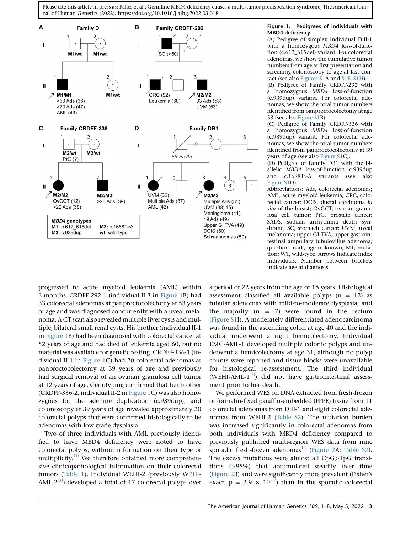<span id="page-3-0"></span>

#### Figure 1. Pedigrees of individuals with MBD4 deficiency

(A) Pedigree of simplex individual D:II-1 with a homozygous MBD4 loss-of-function (c.612\_615del) variant. For colorectal adenomas, we show the cumulative tumor numbers from age at first presentation and screening colonoscopy to age at last contact (see also [Figures S1A](#page-6-0) and [S1E–S1H\)](#page-6-0). (B) Pedigree of Family CRDFF-292 with

a homozygous MBD4 loss-of-function (c.939dup) variant. For colorectal adenomas, we show the total tumor numbers identified from panproctocolectomy at age 53 (see also [Figure S1B](#page-6-0)).

(C) Pedigree of Family CRDFF-336 with a homozygous MBD4 loss-of-function (c.939dup) variant. For colorectal adenomas, we show the total tumor numbers identified from panproctocolectomy at 39 years of age (see also [Figure S1](#page-6-0)C).

(D) Pedigree of Family DB1 with the biallelic MBD4 loss-of-function c.939dup and c.1688T>A variants (see also [Figure S1D](#page-6-0)).

Abbreviations: Ads, colorectal adenomas; AML, acute myeloid leukemia; CRC, colorectal cancer; DCIS, ductal carcinoma in situ of the breast; OvGCT, ovarian granulosa cell tumor; PrC, prostate cancer; SADS, sudden arrhythmia death syndrome; SC, stomach cancer; UVM, uveal melanoma; upper GI TVA, upper gastrointestinal ampullary tubulovillus adenoma; question mark, age unknown; MT, mutation; WT, wild-type. Arrows indicate index individuals. Number between brackets indicate age at diagnosis.

progressed to acute myeloid leukemia (AML) within 3 months. CRDFF-292-1 (individual II-3 in [Figure 1](#page-3-0)B) had 33 colorectal adenomas at panproctocolectomy at 53 years of age and was diagnosed concurrently with a uveal melanoma. A CT scan also revealed multiple liver cysts and multiple, bilateral small renal cysts. His brother (individual II-1 in [Figure 1](#page-3-0)B) had been diagnosed with colorectal cancer at 52 years of age and had died of leukemia aged 60, but no material was available for genetic testing. CRDFF-336-1 (individual II-1 in [Figure 1](#page-3-0)C) had 20 colorectal adenomas at panproctocolectomy at 39 years of age and previously had surgical removal of an ovarian granulosa cell tumor at 12 years of age. Genotyping confirmed that her brother (CRDFF-336-2, individual II-2 in [Figure 1](#page-3-0)C) was also homozygous for the adenine duplication (c.939dup), and colonoscopy at 39 years of age revealed approximately 20 colorectal polyps that were confirmed histologically to be adenomas with low grade dysplasia.

Two of three individuals with AML previously identified to have MBD4 deficiency were noted to have colorectal polyps, without information on their type or multiplicity.<sup>[10](#page-8-0)</sup> We therefore obtained more comprehensive clinicopathological information on their colorectal tumors ([Table 1\)](#page-4-0). Individual WEHI-2 (previously WEHI-AML- $2^{10}$  $2^{10}$  $2^{10}$ ) developed a total of 17 colorectal polyps over a period of 22 years from the age of 18 years. Histological assessment classified all available polyps  $(n = 12)$  as tubular adenomas with mild-to-moderate dysplasia, and the majority  $(n = 7)$  were found in the rectum ([Figure S1](#page-6-0)I). A moderately differentiated adenocarcinoma was found in the ascending colon at age 40 and the individual underwent a right hemicolectomy. Individual EMC-AML-1 developed multiple colonic polyps and underwent a hemicolectomy at age 31, although no polyp counts were reported and tissue blocks were unavailable for histological re-assessment. The third individual (WEHI-AML- $1^{10}$ ) did not have gastrointestinal assessment prior to her death.

We performed WES on DNA extracted from fresh-frozen or formalin-fixed paraffin-embedded (FFPE) tissue from 11 colorectal adenomas from D:II-1 and eight colorectal adenomas from WEHI-2 ([Table S2](#page-6-0)). The mutation burden was increased significantly in colorectal adenomas from both individuals with MBD4 deficiency compared to previously published multi-region WES data from nine sporadic fresh-frozen adenomas<sup>[11](#page-8-1)</sup> [\(Figure 2](#page-5-0)A; [Table S2\)](#page-6-0). The excess mutations were almost all CpG>TpG transitions (>95%) that accumulated steadily over time ([Figure 2](#page-5-0)B) and were significantly more prevalent (Fisher's exact,  $p = 2.9 \times 10^{-7}$  than in the sporadic colorectal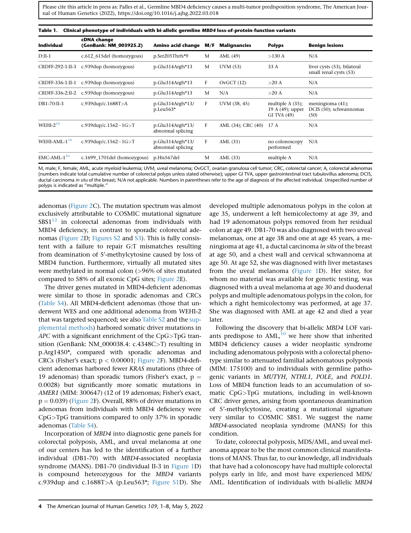<span id="page-4-0"></span>

| <b>Individual</b>        | cDNA change<br>(GenBank: NM_003925.2)  | Amino acid change                        | M/F          | <b>Malignancies</b>     | <b>Polyps</b>                                         | <b>Benign lesions</b>                                 |
|--------------------------|----------------------------------------|------------------------------------------|--------------|-------------------------|-------------------------------------------------------|-------------------------------------------------------|
| $D:II-1$                 | c.612_615del (homozygous)              | p.Ser205Thrfs*9                          | M            | AML (49)                | $>130$ A                                              | N/A                                                   |
| CRDFF-292-1:II-3         | c.939dup (homozygous)                  | $p.Glu314Argfs*13$                       | M            | UVM (53)                | 33 A                                                  | liver cysts (53), bilateral<br>small renal cysts (53) |
|                          | CRDFF-336-1:II-1 c.939dup (homozygous) | $p.Glu314Argfs*13$                       | F            | OvGCT(12)               | $>20$ A                                               | N/A                                                   |
|                          | CRDFF-336-2:II-2 c.939dup (homozygous) | $p.Glu314Argfs*13$                       | M            | N/A                     | $>20$ A                                               | N/A                                                   |
| DB1-70:II-3              | c.939dup/c.1688T>A                     | $p.Glu314Argfs*13/$<br>$p.$ Leu $563*$   | F            | UVM (38, 45)            | multiple $A(35)$ ;<br>19 A (49); upper<br>GI TVA (49) | meningioma (41);<br>DCIS (50); schwannomas<br>(50)    |
| WEHI- $2^{10}$           | c.939dup/c.1562-1G>T                   | $p.Glu314Argfs*13/$<br>abnormal splicing | $\mathbf{F}$ | AML (34); CRC (40) 17 A |                                                       | N/A                                                   |
| WEHI-AML-1 <sup>10</sup> | c.939dup/c.1562-1G>T                   | $p.Glu314Argfs*13/$<br>abnormal splicing | F            | AML $(31)$              | no colonoscopy<br>performed                           | N/A                                                   |
| $EMC-AML-110$            | c.1699 1701del (homozygous)            | p.His567del                              | M            | AML $(33)$              | multiple A                                            | N/A                                                   |

M, male; F, female; AML, acute myeloid leukemia; UVM, uveal melanoma; OvGCT, ovarian granulosa cell tumor; CRC, colorectal cancer; A, colorectal adenomas (numbers indicate total cumulative number of colorectal polyps unless stated otherwise); upper GI TVA, upper gastrointestinal tract tubulovillus adenoma; DCIS, ductal carcinoma in situ of the breast; N/A not applicable. Numbers in parentheses refer to the age of diagnosis of the affected individual. Unspecified number of polyps is indicated as ''multiple.''

adenomas ([Figure 2](#page-5-0)C). The mutation spectrum was almost exclusively attributable to COSMIC mutational signature  $SBS1<sup>12</sup>$  $SBS1<sup>12</sup>$  $SBS1<sup>12</sup>$  in colorectal adenomas from individuals with MBD4 deficiency, in contrast to sporadic colorectal adenomas ([Figure 2](#page-5-0)D; [Figures S2](#page-6-0) and [S3\)](#page-6-0). This is fully consistent with a failure to repair G:T mismatches resulting from deamination of 5'-methylcytosine caused by loss of MBD4 function. Furthermore, virtually all mutated sites were methylated in normal colon (>96% of sites mutated compared to 58% of all exonic CpG sites; [Figure 2E](#page-5-0)).

The driver genes mutated in MBD4-deficient adenomas were similar to those in sporadic adenomas and CRCs ([Table S4](#page-6-0)). All MBD4-deficient adenomas (those that underwent WES and one additional adenoma from WEHI-2 that was targeted sequenced; see also [Table S2](#page-6-0) and the [sup](#page-6-0)[plemental methods\)](#page-6-0) harbored somatic driver mutations in APC with a significant enrichment of the CpG>TpG transition (GenBank: NM\_000038.4: c.4348C>T) resulting in p.Arg1450\*, compared with sporadic adenomas and CRCs (Fisher's exact;  $p < 0.00001$ ; [Figure 2](#page-5-0)F). MBD4-deficient adenomas harbored fewer KRAS mutations (three of 19 adenomas) than sporadic tumors (Fisher's exact,  $p =$ 0.0028) but significantly more somatic mutations in AMER1 (MIM: 300647) (12 of 19 adenomas; Fisher's exact,  $p = 0.039$  ([Figure 2](#page-5-0)F). Overall, 88% of driver mutations in adenomas from individuals with MBD4 deficiency were CpG>TpG transitions compared to only 37% in sporadic adenomas [\(Table S4\)](#page-6-0).

Incorporation of MBD4 into diagnostic gene panels for colorectal polyposis, AML, and uveal melanoma at one of our centers has led to the identification of a further individual (DB1-70) with MBD4-associated neoplasia syndrome (MANS). DB1-70 (individual II-3 in [Figure 1](#page-3-0)D) is compound heterozygous for the MBD4 variants c.939dup and c.1688T>A (p.Leu563\*; [Figure S1](#page-6-0)D). She

developed multiple adenomatous polyps in the colon at age 35, underwent a left hemicolectomy at age 39, and had 19 adenomatous polyps removed from her residual colon at age 49. DB1-70 was also diagnosed with two uveal melanomas, one at age 38 and one at age 45 years, a meningioma at age 41, a ductal carcinoma in situ of the breast at age 50, and a chest wall and cervical schwannoma at age 50. At age 52, she was diagnosed with liver metastases from the uveal melanoma ([Figure 1D](#page-3-0)). Her sister, for whom no material was available for genetic testing, was diagnosed with a uveal melanoma at age 30 and duodenal polyps and multiple adenomatous polyps in the colon, for which a right hemicolectomy was performed, at age 37. She was diagnosed with AML at age 42 and died a year later.

Following the discovery that bi-allelic MBD4 LOF variants predispose to  $AML<sub>10</sub>$  $AML<sub>10</sub>$  $AML<sub>10</sub>$  we here show that inherited MBD4 deficiency causes a wider neoplastic syndrome including adenomatous polyposis with a colorectal phenotype similar to attenuated familial adenomatous polyposis (MIM: 175100) and to individuals with germline pathogenic variants in MUTYH, NTHL1, POLE, and POLD1. Loss of MBD4 function leads to an accumulation of somatic CpG>TpG mutations, including in well-known CRC driver genes, arising from spontaneous deamination of 5'-methylcytosine, creating a mutational signature very similar to COSMIC SBS1. We suggest the name MBD4-associated neoplasia syndrome (MANS) for this condition.

To date, colorectal polyposis, MDS/AML, and uveal melanoma appear to be the most common clinical manifestations of MANS. Thus far, to our knowledge, all individuals that have had a colonoscopy have had multiple colorectal polyps early in life, and most have experienced MDS/ AML. Identification of individuals with bi-allelic MBD4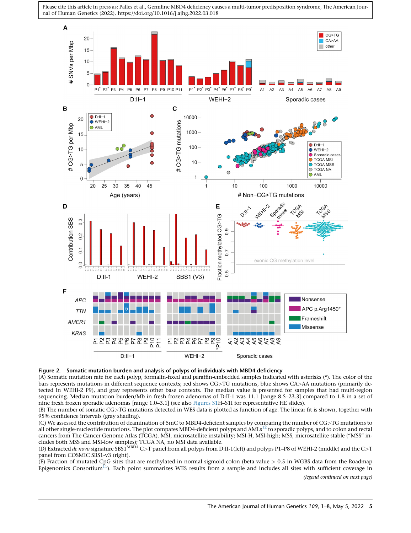<span id="page-5-0"></span>



(A) Somatic mutation rate for each polyp, formalin-fixed and paraffin-embedded samples indicated with asterisks (\*). The color of the bars represents mutations in different sequence contexts; red shows CG>TG mutations, blue shows CA>AA mutations (primarily detected in WEHI-2 P9), and gray represents other base contexts. The median value is presented for samples that had multi-region sequencing. Median mutation burden/Mb in fresh frozen adenomas of D:II-1 was 11.1 [range 8.5–23.3] compared to 1.8 in a set of nine fresh frozen sporadic adenomas [range 1.0–3.1] (see also [Figures S1](#page-6-0)H–S1I for representative HE slides).

(B) The number of somatic CG>TG mutations detected in WES data is plotted as function of age. The linear fit is shown, together with 95% confidence intervals (gray shading).

(C) We assessed the contribution of deamination of 5mC to MBD4-deficient samples by comparing the number of CG>TG mutations to<br>all other single-nucleotide mutations. The plot compares MBD4-deficient polyps and AMLs<sup>[12](#page-8-2)</sup> to cancers from The Cancer Genome Atlas (TCGA). MSI, microsatellite instability; MSI-H, MSI-high; MSS, microsatellite stable (''MSS'' includes both MSS and MSI-low samples); TCGA NA, no MSI data available.

(D) Extracted de novo signature SBS1MBD4 C>T panel from all polyps from D:II-1(left) and polyps P1–P8 of WEHI-2 (middle) and the C>T panel from COSMIC SBS1-v3 (right).

(E) Fraction of mutated CpG sites that are methylated in normal sigmoid colon (beta value > 0.5 in WGBS data from the Roadmap Epigenomics Consortium<sup>11</sup>). Each point summarizes WES results from a sample and includes all sites with sufficient coverage in (legend continued on next page)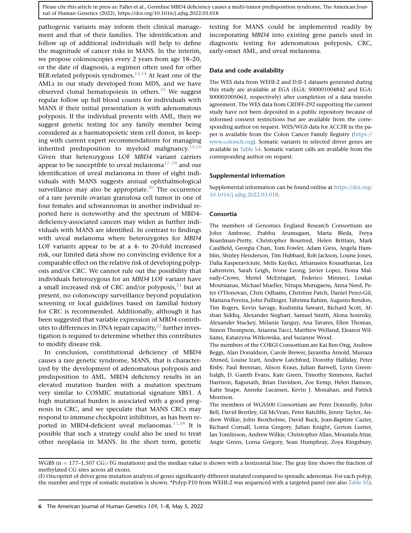<span id="page-6-0"></span>pathogenic variants may inform their clinical management and that of their families. The identification and follow up of additional individuals will help to define the magnitude of cancer risks in MANS. In the interim, we propose colonoscopies every 2 years from age 18–20, or the date of diagnosis, a regimen often used for other BER-related polyposis syndromes. $13,14$  $13,14$  At least one of the AMLs in our study developed from MDS, and we have observed clonal hematopoiesis in others. $10$  We suggest regular follow up full blood counts for individuals with MANS if their initial presentation is with adenomatous polyposis. If the individual presents with AML, then we suggest genetic testing for any family member being considered as a haematopoietic stem cell donor, in keeping with current expert recommendations for managing inherited predisposition to myeloid malignancy.<sup>15</sup> Given that heterozygous LOF MBD4 variant carriers appear to be susceptible to uveal melanoma<sup>[17–19](#page-8-7)</sup> and our identification of uveal melanoma in three of eight individuals with MANS suggests annual ophthalmological surveillance may also be appropriate. $20$  The occurrence of a rare juvenile ovarian granulosa cell tumor in one of four females and schwannomas in another individual reported here is noteworthy and the spectrum of MBD4 deficiency-associated cancers may widen as further individuals with MANS are identified. In contrast to findings with uveal melanoma where heterozygotes for MBD4 LOF variants appear to be at a 4- to 20-fold increased risk, our limited data show no convincing evidence for a comparable effect on the relative risk of developing polyposis and/or CRC. We cannot rule out the possibility that individuals heterozygous for an MBD4 LOF variant have a small increased risk of CRC and/or polyposis, $^{21}$  $^{21}$  $^{21}$  but at present, no colonoscopy surveillance beyond population screening or local guidelines based on familial history for CRC is recommended. Additionally, although it has been suggested that variable expression of MBD4 contributes to differences in DNA repair capacity, $^{22}$  $^{22}$  $^{22}$  further investigation is required to determine whether this contributes to modify disease risk.

In conclusion, constitutional deficiency of MBD4 causes a rare genetic syndrome, MANS, that is characterized by the development of adenomatous polyposis and predisposition to AML. MBD4 deficiency results in an elevated mutation burden with a mutation spectrum very similar to COSMIC mutational signature SBS1. A high mutational burden is associated with a good prognosis in CRC, and we speculate that MANS CRCs may respond to immune checkpoint inhibitors, as has been re-ported in MBD4-deficient uveal melanomas.<sup>[17,](#page-8-7)[18](#page-8-11)</sup> It is possible that such a strategy could also be used to treat other neoplasia in MANS. In the short term, genetic

testing for MANS could be implemented readily by incorporating MBD4 into existing gene panels used in diagnostic testing for adenomatous polyposis, CRC, early-onset AML, and uveal melanoma.

#### Data and code availability

The WES data from WEHI-2 and D:II-1 datasets generated during this study are available at EGA (EGA: S00001004842 and EGA: S00001005063, respectively) after completion of a data transfer agreement. The WES data from CRDFF-292 supporting the current study have not been deposited in a public repository because of informed consent restrictions but are available from the corresponding author on request. WES/WGS data for ACCFR in the paper is available from the Colon Cancer Family Registry [\(https://](https://www.coloncfr.org) [www.coloncfr.org\)](https://www.coloncfr.org). Somatic variants in selected driver genes are available in Table S4. Somatic variant calls are available from the corresponding author on request.

#### Supplemental information

Supplemental information can be found online at [https://doi.org/](https://doi.org/10.1016/j.ajhg.2022.03.018) [10.1016/j.ajhg.2022.03.018](https://doi.org/10.1016/j.ajhg.2022.03.018).

#### Consortia

The members of Genomics England Research Consortium are John Ambrose, Prabhu Arumugam, Marta Bleda, Freya Boardman-Pretty, Christopher Boustred, Helen Brittain, Mark Caulfield, Georgia Chan, Tom Fowler, Adam Giess, Angela Hamblin, Shirley Henderson, Tim Hubbard, Rob Jackson, Louise Jones, Dalia Kasperaviciute, Melis Kayikci, Athanasios Kousathanas, Lea Lahnstein, Sarah Leigh, Ivone Leong, Javier Lopez, Fiona Maleady-Crowe, Meriel McEntagart, Federico Minneci, Loukas Moutsianas, Michael Mueller, Nirupa Murugaesu, Anna Need, Peter O'Donovan, Chris Odhams, Christine Patch, Daniel Perez-Gil, Mariana Pereira, John Pullinger, Tahrima Rahim, Augusto Rendon, Tim Rogers, Kevin Savage, Kushmita Sawant, Richard Scott, Afshan Siddiq, Alexander Sieghart, Samuel Smith, Alona Sosinsky, Alexander Stuckey, Mélanie Tanguy, Ana Tavares, Ellen Thomas, Simon Thompson, Arianna Tucci, Matthew Welland, Eleanor Williams, Katarzyna Witkowska, and Suzanne Wood.

The members of the CORGI Consortium are Kai Ren Ong, Andrew Beggs, Alan Donaldson, Carole Brewer, Jayantha Arnold, Munaza Ahmed, Louise Izatt, Andrew Latchford, Dorothy Halliday, Peter Risby, Paul Brennan, Alison Kraus, Julian Barwell, Lynn Greenhalgh, D. Gareth Evans, Kate Green, Timothy Simmons, Rachel Harrison, Ragunath, Brian Davidson, Zoe Kemp, Helen Hanson, Katie Snape, Anneke Lucassen, Kevin J. Monahan, and Patrick Morrison.

The members of WGS500 Consortium are Peter Donnelly, John Bell, David Bentley, Gil McVean, Peter Ratcliffe, Jenny Taylor, Andrew Wilkie, John Broxholme, David Buck, Jean-Baptiste Cazier, Richard Cornall, Lorna Gregory, Julian Knight, Gerton Lunter, Ian Tomlinson, Andrew Wilkie, Christopher Allan, Moustafa Attar, Angie Green, Lorna Gregory, Sean Humphray, Zoya Kingsbury,

WGBS ( $n = 177-1,507 \text{ CG}$ ) TG mutations) and the median value is shown with a horizontal line. The gray line shows the fraction of methylated CG sites across all exons.

<sup>(</sup>F) Oncoprint of driver gene mutation analysis of genes significantly different mutated compared to sporadic adenomas. For each polyp, the number and type of somatic mutation is shown. \*Polyp P10 from WEHI-2 was sequenced with a targeted panel (see also [Table S5\)](#page-6-0).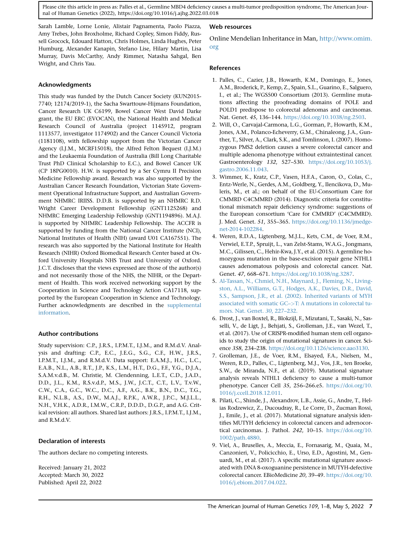Sarah Lamble, Lorne Lonie, Alistair Pagnamenta, Paolo Piazza, Amy Trebes, John Broxholme, Richard Copley, Simon Fiddy, Russell Grocock, Edouard Hatton, Chris Holmes, Linda Hughes, Peter Humburg, Alexander Kanapin, Stefano Lise, Hilary Martin, Lisa Murray, Davis McCarthy, Andy Rimmer, Natasha Sahgal, Ben Wright, and Chris Yau.

#### Acknowledgments

This study was funded by the Dutch Cancer Society (KUN2015- 7740; 12174/2019-1), the Sacha Swarttouw-Hijmans Foundation, Cancer Research UK C6199, Bowel Cancer West David Darke grant, the EU ERC (EVOCAN), the National Health and Medical Research Council of Australia (project 1145912, program 1113577, investigator 1174902) and the Cancer Council Victoria (1181108), with fellowship support from the Victorian Cancer Agency (I.J.M., MCRF15018), the Alfred Felton Bequest (I.J.M.) and the Leukaemia Foundation of Australia (Bill Long Charitable Trust PhD Clinical Scholarship to E.C.), and Bowel Cancer UK (CP 18PG0010). H.W. is supported by a Ser Cymru II Precision Medicine Fellowship award. Research was also supported by the Australian Cancer Research Foundation, Victorian State Government Operational Infrastructure Support, and Australian Government NHMRC IRIISS. D.D.B. is supported by an NHMRC R.D. Wright Career Development Fellowship (GNT1125268) and NHMRC Emerging Leadership Fellowship (GNT1194896). M.A.J. is supported by NHMRC Leadership Fellowship. The ACCFR is supported by funding from the National Cancer Institute (NCI), National Institutes of Health (NIH) (award U01 CA167551). The research was also supported by the National Institute for Health Research (NIHR) Oxford Biomedical Research Center based at Oxford University Hospitals NHS Trust and University of Oxford. J.C.T. discloses that the views expressed are those of the author(s) and not necessarily those of the NHS, the NIHR, or the Department of Health. This work received networking support by the Cooperation in Science and Technology Action CA17118, supported by the European Cooperation in Science and Technology. Further acknowledgments are described in the [supplemental](#page-6-0) [information.](#page-6-0)

#### Author contributions

Study supervision: C.P., J.R.S., I.P.M.T., I.J.M., and R.M.d.V. Analysis and drafting: C.P., E.C., J.E.G., S.G., C.F., H.W., J.R.S., I.P.M.T., I.J.M., and R.M.d.V. Data support: E.A.M.J., H.C., L.C., E.A.B., N.L., A.B., R.T., J.P., K.S., L.M., H.T., D.G., F.F., Y.G., D.J.A., S.A.M.v.d.B., M. Christie, M. Clendenning, L.E.T., C.D., J.A.D., D.D., J.L., K.M., R.S.v.d.P., M.S., J.W., J.C.T., C.T., L.V., T.v.W., C.W., C.A., G.C., W.C., D.C., A.F., A.G., B.K., B.N., D.C., T.G., R.H., N.L.B., A.S., D.W., M.A.J., R.P.K., A.W.R., J.P.C., M.J.L.L., N.H., V.H.K., A.D.R., I.M.W., C.R.P., D.D.D., D.G.P., and A.G. Critical revision: all authors. Shared last authors: J.R.S., I.P.M.T., I.J.M., and R.M.d.V.

#### Declaration of interests

The authors declare no competing interests.

Received: January 21, 2022 Accepted: March 30, 2022 Published: April 22, 2022

#### Web resources

Online Mendelian Inheritance in Man, [http://www.omim.](http://www.omim.org) [org](http://www.omim.org)

#### References

- <span id="page-7-0"></span>1. Palles, C., Cazier, J.B., Howarth, K.M., Domingo, E., Jones, A.M., Broderick, P., Kemp, Z., Spain, S.L., Guarino, E., Salguero, I., et al.; The WGS500 Consortium (2013). Germline mutations affecting the proofreading domains of POLE and POLD1 predispose to colorectal adenomas and carcinomas. Nat. Genet. 45, 136–144. <https://doi.org/10.1038/ng.2503>.
- <span id="page-7-1"></span>2. Will, O., Carvajal-Carmona, L.G., Gorman, P., Howarth, K.M., Jones, A.M., Polanco-Echeverry, G.M., Chinaleong, J.A., Gunther, T., Silver, A., Clark, S.K., and Tomlinson, I. (2007). Homozygous PMS2 deletion causes a severe colorectal cancer and multiple adenoma phenotype without extraintestinal cancer. Gastroenterology 132, 527–530. [https://doi.org/10.1053/j.](https://doi.org/10.1053/j.gastro.2006.11.043) [gastro.2006.11.043.](https://doi.org/10.1053/j.gastro.2006.11.043)
- <span id="page-7-2"></span>3. Wimmer, K., Kratz, C.P., Vasen, H.F.A., Caron, O., Colas, C., Entz-Werle, N., Gerdes, A.M., Goldberg, Y., Ilencikova, D., Muleris, M., et al.; on behalf of the EU-Consortium Care for CMMRD C4CMMRD (2014). Diagnostic criteria for constitutional mismatch repair deficiency syndrome: suggestions of the European consortium 'Care for CMMRD' (C4CMMRD). J. Med. Genet. 51, 355–365. [https://doi.org/10.1136/jmedge](https://doi.org/10.1136/jmedgenet-2014-102284)[net-2014-102284.](https://doi.org/10.1136/jmedgenet-2014-102284)
- <span id="page-7-3"></span>4. Weren, R.D.A., Ligtenberg, M.J.L., Kets, C.M., de Voer, R.M., Verwiel, E.T.P., Spruijt, L., van Zelst-Stams, W.A.G., Jongmans, M.C., Gilissen, C., Hehir-Kwa, J.Y., et al. (2015). A germline homozygous mutation in the base-excision repair gene NTHL1 causes adenomatous polyposis and colorectal cancer. Nat. Genet. 47, 668–671. <https://doi.org/10.1038/ng.3287>.
- <span id="page-7-4"></span>5. [Al-Tassan, N., Chmiel, N.H., Maynard, J., Fleming, N., Living](http://refhub.elsevier.com//sref5)[ston, A.L., Williams, G.T., Hodges, A.K., Davies, D.R., David,](http://refhub.elsevier.com//sref5) [S.S., Sampson, J.R., et al. \(2002\). Inherited variants of MYH](http://refhub.elsevier.com//sref5) [associated with somatic GC–](http://refhub.elsevier.com//sref5)>[T: A mutations in colorectal tu](http://refhub.elsevier.com//sref5)[mors. Nat. Genet.](http://refhub.elsevier.com//sref5) 30, 227–232.
- <span id="page-7-5"></span>6. Drost, J., van Boxtel, R., Blokzijl, F., Mizutani, T., Sasaki, N., Sasselli, V., de Ligt, J., Behjati, S., Grolleman, J.E., van Wezel, T., et al. (2017). Use of CRISPR-modified human stem cell organoids to study the origin of mutational signatures in cancer. Science 358, 234–238. [https://doi.org/10.1126/science.aao3130.](https://doi.org/10.1126/science.aao3130)
- 7. Grolleman, J.E., de Voer, R.M., Elsayed, F.A., Nielsen, M., Weren, R.D., Palles, C., Ligtenberg, M.J., Vos, J.R., ten Broeke, S.W., de Miranda, N.F., et al. (2019). Mutational signature analysis reveals NTHL1 deficiency to cause a multi-tumor phenotype. Cancer Cell 35, 256–266.e5. [https://doi.org/10.](https://doi.org/10.1016/j.ccell.2018.12.011) [1016/j.ccell.2018.12.011](https://doi.org/10.1016/j.ccell.2018.12.011).
- 8. Pilati, C., Shinde, J., Alexandrov, L.B., Assie, G., Andre, T., Helias Rodzewicz, Z., Ducoudray, R., Le Corre, D., Zucman Rossi, J., Emile, J., et al. (2017). Mutational signature analysis identifies MUTYH deficiency in colorectal cancers and adrenocortical carcinomas. J. Pathol. 242, 10–15. [https://doi.org/10.](https://doi.org/10.1002/path.4880) [1002/path.4880.](https://doi.org/10.1002/path.4880)
- 9. Viel, A., Bruselles, A., Meccia, E., Fornasarig, M., Quaia, M., Canzonieri, V., Policicchio, E., Urso, E.D., Agostini, M., Genuardi, M., et al. (2017). A specific mutational signature associated with DNA 8-oxoguanine persistence in MUTYH-defective colorectal cancer. EBioMedicine 20, 39–49. [https://doi.org/10.](https://doi.org/10.1016/j.ebiom.2017.04.022) [1016/j.ebiom.2017.04.022.](https://doi.org/10.1016/j.ebiom.2017.04.022)